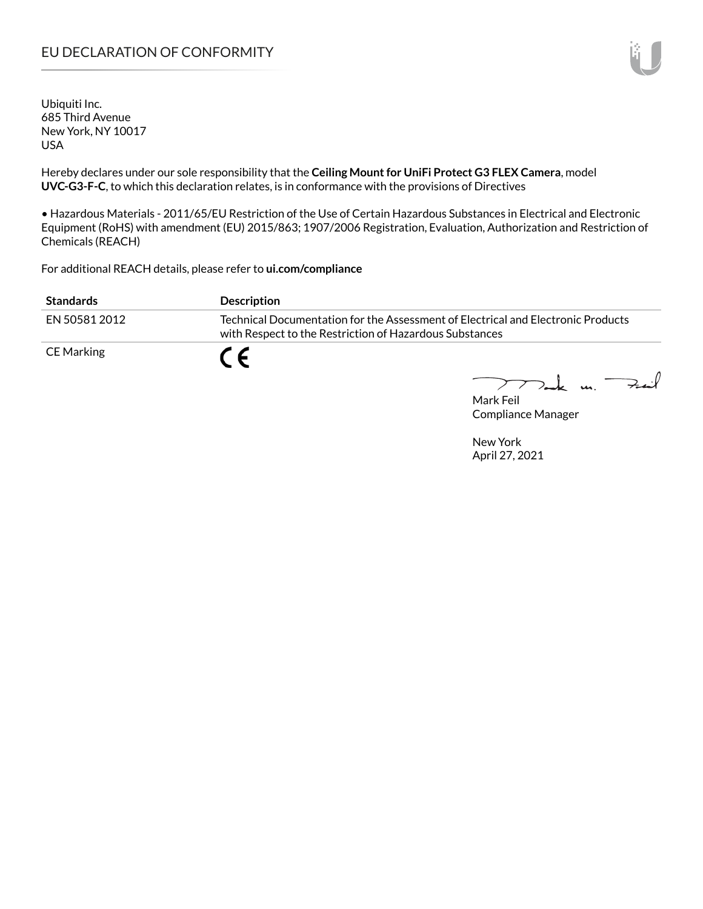# EU DECLARATION OF CONFORMITY

Ubiquiti Inc. 685 Third Avenue New York, NY 10017 USA

Hereby declares under our sole responsibility that the **Ceiling Mount for UniFi Protect G3 FLEX Camera**, model **UVC-G3-F-C**, to which this declaration relates, is in conformance with the provisions of Directives

• Hazardous Materials - 2011/65/EU Restriction of the Use of Certain Hazardous Substances in Electrical and Electronic Equipment (RoHS) with amendment (EU) 2015/863; 1907/2006 Registration, Evaluation, Authorization and Restriction of Chemicals (REACH)

For additional REACH details, please refer to **ui.com/compliance**

| <b>Standards</b> | <b>Description</b>                                                                                                                          |
|------------------|---------------------------------------------------------------------------------------------------------------------------------------------|
| EN 50581 2012    | Technical Documentation for the Assessment of Electrical and Electronic Products<br>with Respect to the Restriction of Hazardous Substances |
| CE Marking       |                                                                                                                                             |

I Dank un.  $+...$ 

Mark Feil Compliance Manager

New York April 27, 2021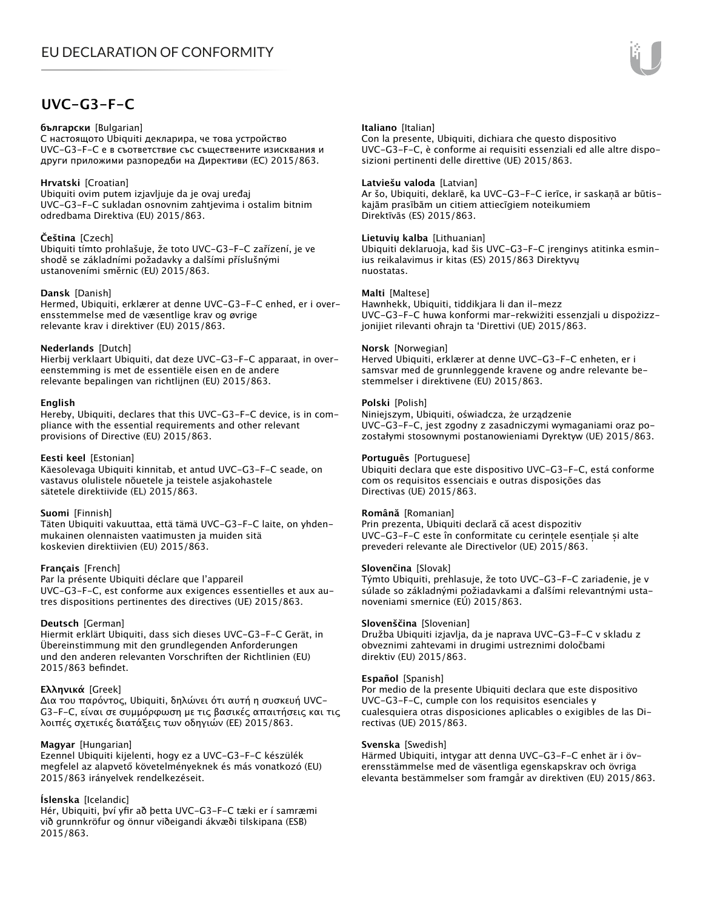# **UVC-G3-F-C**

#### **български** [Bulgarian]

С настоящото Ubiquiti декларира, че това устройство UVC-G3-F-C е в съответствие със съществените изисквания и други приложими разпоредби на Директиви (ЕС) 2015/863.

### **Hrvatski** [Croatian]

Ubiquiti ovim putem izjavljuje da je ovaj uređaj UVC-G3-F-C sukladan osnovnim zahtjevima i ostalim bitnim odredbama Direktiva (EU) 2015/863.

#### **Čeština** [Czech]

Ubiquiti tímto prohlašuje, že toto UVC-G3-F-C zařízení, je ve shodě se základními požadavky a dalšími příslušnými ustanoveními směrnic (EU) 2015/863.

## **Dansk** [Danish]

Hermed, Ubiquiti, erklærer at denne UVC-G3-F-C enhed, er i overensstemmelse med de væsentlige krav og øvrige relevante krav i direktiver (EU) 2015/863.

## **Nederlands** [Dutch]

Hierbij verklaart Ubiquiti, dat deze UVC-G3-F-C apparaat, in overeenstemming is met de essentiële eisen en de andere relevante bepalingen van richtlijnen (EU) 2015/863.

#### **English**

Hereby, Ubiquiti, declares that this UVC-G3-F-C device, is in compliance with the essential requirements and other relevant provisions of Directive (EU) 2015/863.

## **Eesti keel** [Estonian]

Käesolevaga Ubiquiti kinnitab, et antud UVC-G3-F-C seade, on vastavus olulistele nõuetele ja teistele asjakohastele sätetele direktiivide (EL) 2015/863.

#### **Suomi** [Finnish]

Täten Ubiquiti vakuuttaa, että tämä UVC-G3-F-C laite, on yhdenmukainen olennaisten vaatimusten ja muiden sitä koskevien direktiivien (EU) 2015/863.

#### **Français** [French]

Par la présente Ubiquiti déclare que l'appareil UVC-G3-F-C, est conforme aux exigences essentielles et aux autres dispositions pertinentes des directives (UE) 2015/863.

# **Deutsch** [German]

Hiermit erklärt Ubiquiti, dass sich dieses UVC-G3-F-C Gerät, in Übereinstimmung mit den grundlegenden Anforderungen und den anderen relevanten Vorschriften der Richtlinien (EU) 2015/863 befindet.

# **Ελληνικά** [Greek]

Δια του παρόντος, Ubiquiti, δηλώνει ότι αυτή η συσκευή UVC-G3-F-C, είναι σε συμμόρφωση με τις βασικές απαιτήσεις και τις λοιπές σχετικές διατάξεις των οδηγιών (ΕΕ) 2015/863.

# **Magyar** [Hungarian]

Ezennel Ubiquiti kijelenti, hogy ez a UVC-G3-F-C készülék megfelel az alapvető követelményeknek és más vonatkozó (EU) 2015/863 irányelvek rendelkezéseit.

# **Íslenska** [Icelandic]

Hér, Ubiquiti, því yfir að þetta UVC-G3-F-C tæki er í samræmi við grunnkröfur og önnur viðeigandi ákvæði tilskipana (ESB) 2015/863.

### **Italiano** [Italian]

Con la presente, Ubiquiti, dichiara che questo dispositivo UVC-G3-F-C, è conforme ai requisiti essenziali ed alle altre disposizioni pertinenti delle direttive (UE) 2015/863.

### **Latviešu valoda** [Latvian]

Ar šo, Ubiquiti, deklarē, ka UVC-G3-F-C ierīce, ir saskaņā ar būtiskajām prasībām un citiem attiecīgiem noteikumiem Direktīvās (ES) 2015/863.

## **Lietuvių kalba** [Lithuanian]

Ubiquiti deklaruoja, kad šis UVC-G3-F-C įrenginys atitinka esminius reikalavimus ir kitas (ES) 2015/863 Direktyvų nuostatas.

## **Malti** [Maltese]

Hawnhekk, Ubiquiti, tiddikjara li dan il-mezz UVC-G3-F-C huwa konformi mar-rekwiżiti essenzjali u dispożizzjonijiet rilevanti oħrajn ta 'Direttivi (UE) 2015/863.

## **Norsk** [Norwegian]

Herved Ubiquiti, erklærer at denne UVC-G3-F-C enheten, er i samsvar med de grunnleggende kravene og andre relevante bestemmelser i direktivene (EU) 2015/863.

## **Polski** [Polish]

Niniejszym, Ubiquiti, oświadcza, że urządzenie UVC-G3-F-C, jest zgodny z zasadniczymi wymaganiami oraz pozostałymi stosownymi postanowieniami Dyrektyw (UE) 2015/863.

### **Português** [Portuguese]

Ubiquiti declara que este dispositivo UVC-G3-F-C, está conforme com os requisitos essenciais e outras disposições das Directivas (UE) 2015/863.

# **Română** [Romanian]

Prin prezenta, Ubiquiti declară că acest dispozitiv UVC-G3-F-C este în conformitate cu cerințele esențiale și alte prevederi relevante ale Directivelor (UE) 2015/863.

#### **Slovenčina** [Slovak]

Týmto Ubiquiti, prehlasuje, že toto UVC-G3-F-C zariadenie, je v súlade so základnými požiadavkami a ďalšími relevantnými ustanoveniami smernice (EÚ) 2015/863.

#### **Slovenščina** [Slovenian]

Družba Ubiquiti izjavlja, da je naprava UVC-G3-F-C v skladu z obveznimi zahtevami in drugimi ustreznimi določbami direktiv (EU) 2015/863.

### **Español** [Spanish]

Por medio de la presente Ubiquiti declara que este dispositivo UVC-G3-F-C, cumple con los requisitos esenciales y cualesquiera otras disposiciones aplicables o exigibles de las Directivas (UE) 2015/863.

#### **Svenska** [Swedish]

Härmed Ubiquiti, intygar att denna UVC-G3-F-C enhet är i överensstämmelse med de väsentliga egenskapskrav och övriga elevanta bestämmelser som framgår av direktiven (EU) 2015/863.